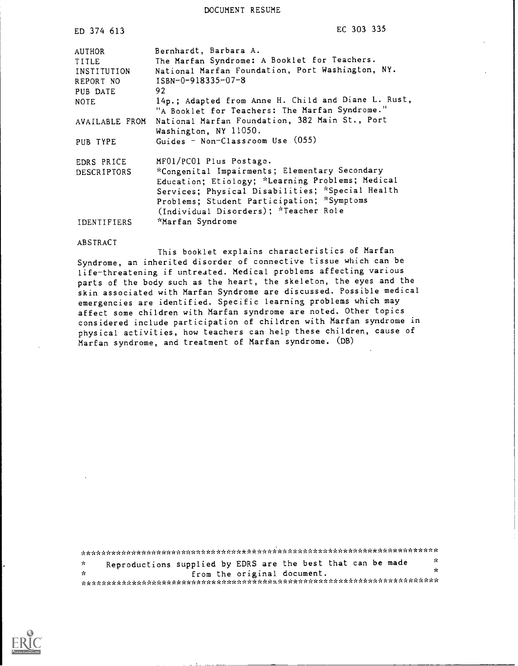DOCUMENT RESUME

| ED 374 613     | EC 303 335                                                                                            |
|----------------|-------------------------------------------------------------------------------------------------------|
| AUTHOR         | Bernhardt, Barbara A.                                                                                 |
| TITLE          | The Marfan Syndrome: A Booklet for Teachers.                                                          |
| INSTITUTION    | National Marfan Foundation, Port Washington, NY.                                                      |
| REPORT NO      | ISBN-0-918335-07-8                                                                                    |
| PUB DATE       | 92                                                                                                    |
| <b>NOTE</b>    | 14p.; Adapted from Anne H. Child and Diane L. Rust,<br>"A Booklet for Teachers: The Marfan Syndrome." |
| AVAILABLE FROM | National Marfan Foundation, 382 Main St., Port<br>Washington, NY 11050.                               |
| PUB TYPE       | Guides - Non-Classroom Use (055)                                                                      |
| EDRS PRICE     | MF01/PC01 Plus Postage.                                                                               |
| DESCRIPTORS    | *Congenital Impairments; Elementary Secondary                                                         |
|                | Education; Etiology; *Learning Problems; Medical                                                      |
|                | Services; Physical Disabilities; *Special Health                                                      |
|                | Problems; Student Participation; *Symptoms                                                            |
|                | (Individual Disorders); *Teacher Role                                                                 |
| IDENTIFIERS    | *Marfan Syndrome                                                                                      |

#### ABSTRACT

This booklet explains characteristics of Marfan Syndrome, an inherited disorder of connective tissue which can be life-threatening if untreated. Medical problems affecting various parts of the body such as the heart, the skeleton, the eyes and the skin associated with Marfan Syndrome are discussed. Possible medical emergencies are identified. Specific learning problems which may affect some children with Marfan syndrome are noted. Other topics considered include participation of children with Marfan syndrome in physical activities, how teachers can help these children, cause of Marfan syndrome, and treatment of Marfan syndrome. (DB)

\*\*\*\*\*\*\*\*\*\*\*\*\*\*\*\*\*\*\*\*\*\*\*\*\*\*\*\*\*\*\*\*\*\*\*\*\*\*\*\*\*\*\*\*\*\*\*\*\*\*\*\*\*\*\*\*\*\*\*\*\*\*\*\*\*\*\*\*\*\*\* Reproductions supplied by EDRS are the best that can be made  $\frac{1}{x}$  $\mathbf{x}$ from the original document.  $\mathcal{H}$ \*\*\*\*\*\*\*\*\*\*\*\*\*\*\*\*\*\*\*\*\*\*\*\*\*\*\*\*\*\*\*\*\*\*\*\*\*\*\*\*\*\*\*\*\*\*\*\*\*\*\*\*\*\*\*\*\*\*\*\*\*\*\*\*\*\*\*\*\*\*\*

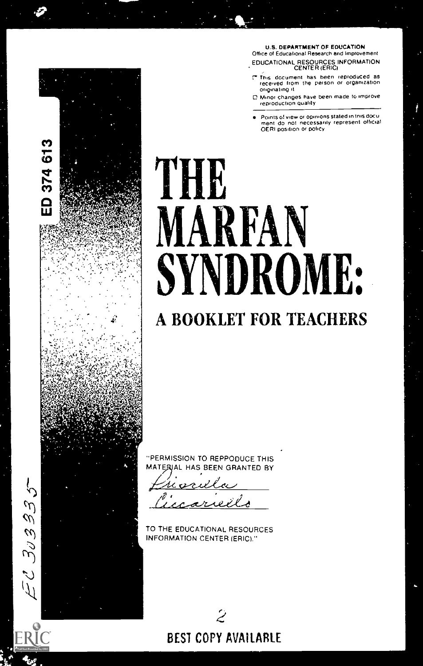U.S. DEPARTMENT OF EDUCATION Office of Educational Research and Improvement EDUCATIONAL RESOURCES INFORMATION CENTER (ERIC)

- This document has been reproduced as received from the person or organrzation originating it
- C Minor changes have been made to improve reproduction quality
- Points o! new or opinions Slated in this docu ment do not neCessarily represent official OERI position or policy

# THE MARFAN SYNDROME:

### A BOOKLET FOR TEACHERS

'PERMISSION TO REPPODUCE THIS RIAL HAS BEEN GRANTED BY

TO THE EDUCATIONAL RESOURCES INFORMATION CENTER (ERIC)."



EC 303335

ED 374 613

ERĬ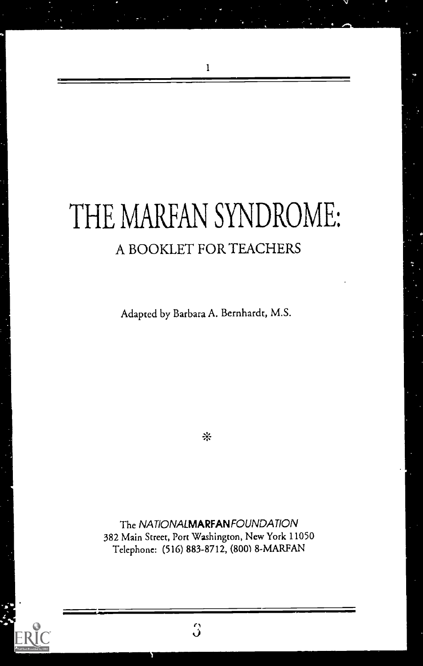## THE MARFAN SYNDROME: A BOOKLET FOR TEACHERS

Adapted by Barbara A. Bernhardt, M.S.

 $\frac{1}{2}$ 

The NATIONALMARFANFOUNDATION 382 Main Street, Port Washington, New York 11050 Telephone: (516) 883-8712, (800) 8-MARFAN

 $\overline{3}$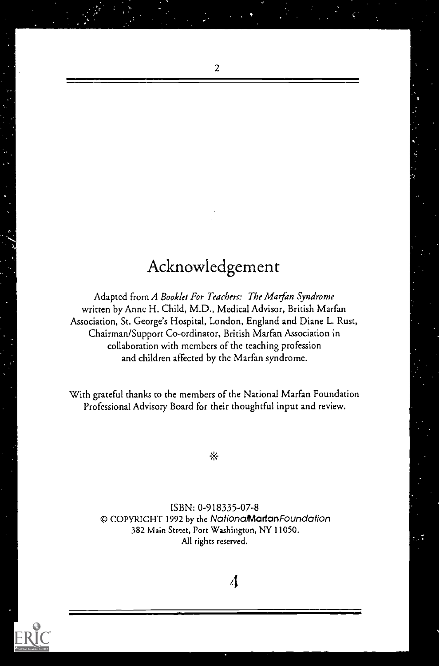### Acknowledgement

Adapted from A Booklet For Teachers: The Marfan Syndrome written by Anne H. Child, M.D., Medical Advisor, British Marfan Association, St. George's Hospital, London, England and Diane L. Rust, Chairman/Support Co-ordinator, British Marfan Association in collaboration with members of the teaching profession and children affected by the Marfan syndrome.

With grateful thanks to the members of the National Marfan Foundation Professional Advisory Board for their thoughtful input and review.

寧

ISBN: 0-918335-07-8 CI COPYRIGHT 1992 by the NationaMarfanFoundation 382 Main Street, Port Washington, NY 11050. All rights reserved.

 $\Lambda$ 



 $\overline{c}$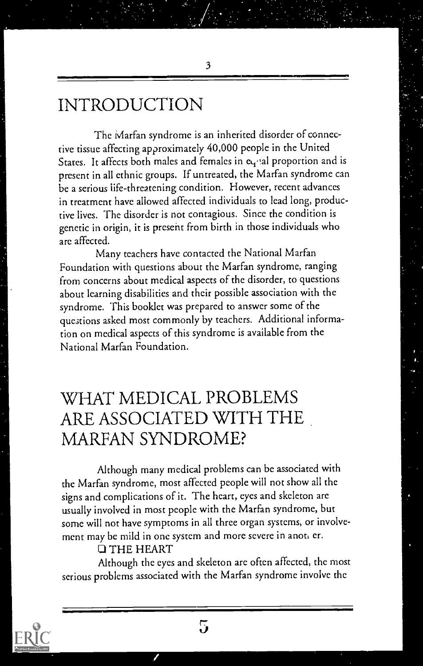### INTRODUCTION

The Marfan syndrome is an inherited disorder of connective tissue affecting approximately 40,000 people in the United States. It affects both males and females in equal proportion and is present in all ethnic groups. If untreated, the Marfan syndrome can be a serious life-threatening condition. However, recent advances in treatment have allowed affected individuals to lead long, productive lives. The disorder is not contagious. Since the condition is genetic in origin, it is present from birth in those individuals who are affected.

3

Many teachers have contacted the National Marfan Foundation with questions about the Marfan syndrome, ranging from concerns about medical aspects of the disorder, to questions about learning disabilities and their possible association with the syndrome. This booklet was prepared to answer some of the questions asked most commonly by teachers. Additional information on medical aspects of this syndrome is available from the National Marfan Foundation.

### WHAT MEDICAL PROBLEMS ARE ASSOCIATED WITH THE MARFAN SYNDROME?

Although many medical problems can be associated with the Marfan syndrome, most affected people will not show all the signs and complications of it. The heart, eyes and skeleton are usually involved in most people with the Marfan syndrome, but some will not have symptoms in all three organ systems, or involvement may be mild in one system and more severe in anot, er.

#### 1] THE HEART

Although the eyes and skeleton are often affected, the most serious problems associated with the Marfan syndrome involve the

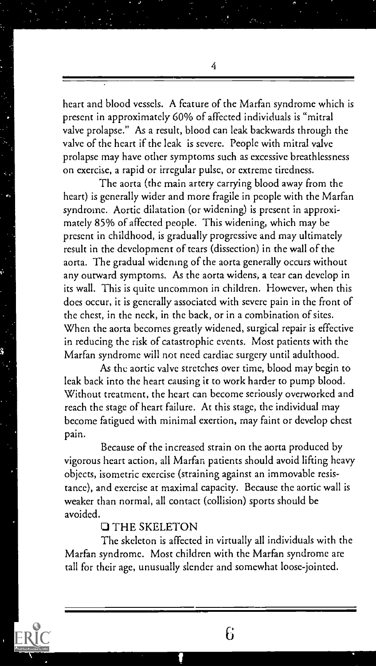heart and blood vessels. A feature of the Marfan syndrome which is present in approximately 60% of affected individuals is "mitral valve prolapse." As a result, blood can leak backwards through the valve of the heart if the leak is severe. People with mitral valve prolapse may have other symptoms such as excessive breathlessness on exercise, a rapid or irregular pulse, or extreme tiredness.

The aorta (the main artery carrying blood away from the heart) is generally wider and more fragile in people with the Marfan syndrome. Aortic dilatation (or widening) is present in approximately 85% of affected people. This widening, which may be present in childhood, is gradually progressive and may ultimately result in the development of tears (dissection) in the wall of the aorta. The gradual widening of the aorta generally occurs without any outward symptoms. As the aorta widens, a tear can develop in its wall. This is quite uncommon in children. However, when this does occur, it is generally associated with severe pain in the front of the chest, in the neck, in the back, or in a combination of sites. When the aorta becomes greatly widened, surgical repair is effective in reducing the risk of catastrophic events. Most patients with the Marfan syndrome will not need cardiac surgery until adulthood.

As the aortic valve stretches over time, blood may begin to leak back into the heart causing it to work harder to pump blood. Without treatment, the heart can become seriously overworked and reach the stage of heart failure. At this stage, the individual may become fatigued with minimal exertion, may faint or develop chest pain.

Because of the increased strain on the aorta produced by vigorous heart action, all Marfan patients should avoid lifting heavy objects, isometric exercise (straining against an immovable resistance), and exercise at maximal capacity. Because the aortic wall is weaker than normal, all contact (collision) sports should be avoided.

#### **Q THE SKELETON**

The skeleton is affected in virtually all individuals with the Marfan syndrome. Most children with the Marfan syndrome are tall for their age, unusually slender and somewhat loose-jointed.



4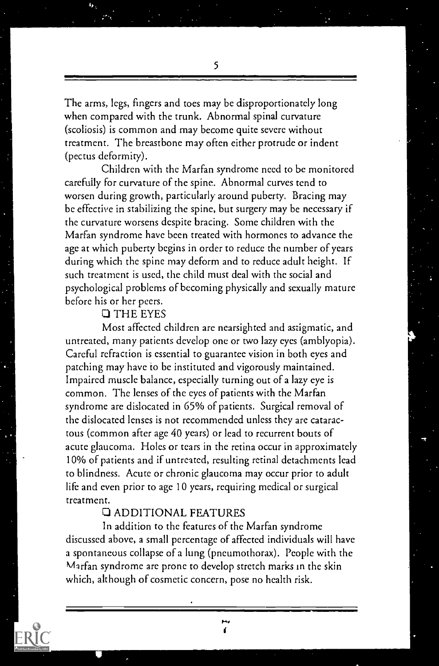The arms, legs, fingers and toes may be disproportionately long when compared with the trunk. Abnormal spinal curvature (scoliosis) is common and may become quite severe without treatment. The breastbone may often either protrude or indent (pectus deformity).

Children with the Marfan syndrome need to be monitored carefully for curvature of the spine. Abnormal curves tend to worsen during growth, particularly around puberty. Bracing may be effective in stabilizing the spine, but surgery may be necessary if the curvature worsens despite bracing. Some children with the Marfan syndrome have been treated with hormones to advance the age at which puberty begins in order to reduce the number of years during which the spine may deform and to reduce adult height. If such treatment is used, the child must deal with the social and psychological problems of becoming physically and sexually mature before his or her peers.

#### THE EYES

b. Grant Construction

Most affected children are nearsighted and astigmatic, and untreated, many patients develop one or two lazy eyes (amblyopia). Careful refraction is essential to guarantee vision in both eyes and patching may have to be instituted and vigorously maintained. Impaired muscle balance, especially turning out of a lazy eye is common. The lenses of the eyes of patients with the Marfan syndrome arc dislocated in 65% of patients. Surgical removal of the dislocated lenses is not recommended unless they are cataractous (common after age 40 years) or lead to recurrent bouts of acute glaucoma. Holes or tears in the retina occur in approximately 10% of patients and if untreated, resulting retinal detachments lead to blindness. Acute or chronic glaucoma may occur prior to adult life and even prior to age 10 years, requiring medical or surgical treatment.

#### **Q ADDITIONAL FEATURES**

In addition to the features of the Marfan syndrome discussed above, a small percentage of affected individuals will have a spontaneous collapse of a lung (pneumothorax). People with the Marfan syndrome are prone to develop stretch marks in the skin which, although of cosmetic concern, pose no health risk.

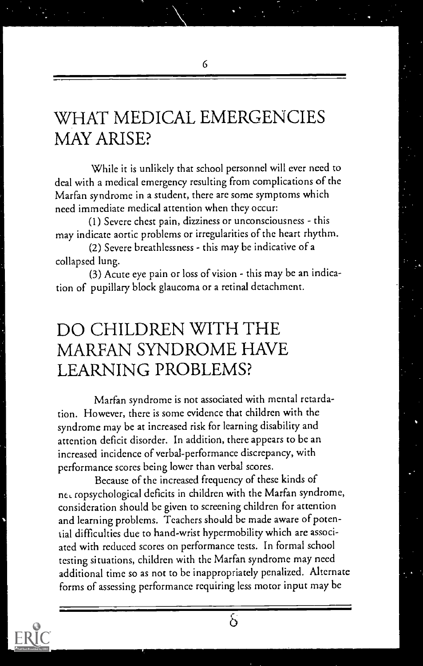### WHAT MEDICAL EMERGENCIES MAY ARISE?

While it is unlikely that school personnel will ever need to deal with a medical emergency resulting from complications of the Marfan syndrome in a student, there are some symptoms which need immediate medical attention when they occur:

(I) Severe chest pain, dizziness or unconsciousness - this may indicate aortic problems or irregularities of the heart rhythm.

(2) Severe breathlessness - this may be indicative of a collapsed lung.

(3) Acute eye pain or loss of vision - this may be an indication of pupillary block glaucoma or a retinal detachment.

### DO CHILDREN WITH THE MARFAN SYNDROME HAVE LEARNING PROBLEMS?

Marian syndrome is not associated with mental retardation. However, there is some evidence that children with the syndrome may be at increased risk for learning disability and attention deficit disorder. In addition, there appears to be an increased incidence of verbal-performance discrepancy, with performance scores being lower than verbal scores.

Because of the increased frequency of these kinds of net ropsychological deficits in children with the Marfan syndrome, consideration should be given to screening children for attention and learning problems. Teachers should be made aware of potential difficulties due to hand-wrist hypermobility which are associated with reduced scores on performance tests. In formal school testing situations, children with the Marfan syndrome may need additional time so as not to be inappropriately penalized. Alternate forms of assessing performance requiring less motor input may be

δ

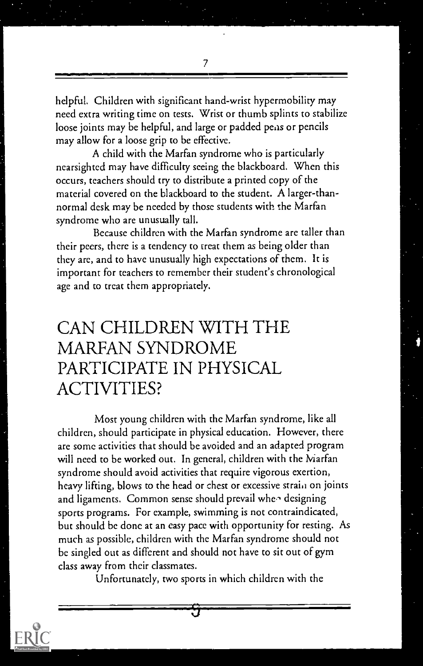7

helpful. Children with significant hand-wrist hypermobility may need extra writing time on tests. Wrist or thumb splints to stabilize loose joints may be helpful, and large or padded pens or pencils may allow for a loose grip to be effective.

A child with the Marfan syndrome who is particularly nearsighted may have difficulty seeing the blackboard. When this occurs, teachers should try to distribute a printed copy of the material covered on the blackboard to the student. A larger-thannormal desk may be needed by those students with the Marfan syndrome who are unusually tall.

Because children with the Marfan syndrome are taller than their peers, there is a tendency to treat them as being older than they arc, and to have unusually high expectations of them. It is important for teachers to remember their student's chronological age and to treat them appropriately.

### CAN CHILDREN WITH THE MARFAN SYNDROME PARTICIPATE IN PHYSICAL ACTIVITIES?

Most young children with the Marfan syndrome, like all children, should participate in physical education. However, there are some activities that should be avoided and an adapted program will need to be worked out. In general, children with the Marfan syndrome should avoid activities that require vigorous exertion, heavy lifting, blows to the head or chest or excessive straial on joints and ligaments. Common sense should prevail whee designing sports programs. For example, swimming is not contraindicated, but should be done at an easy pace with opportunity for resting. As much as possible, children with the Marfan syndrome should not be singled out as different and should not have to sit out of gym class away from their classmates.

Unfortunately, two sports in which children with the

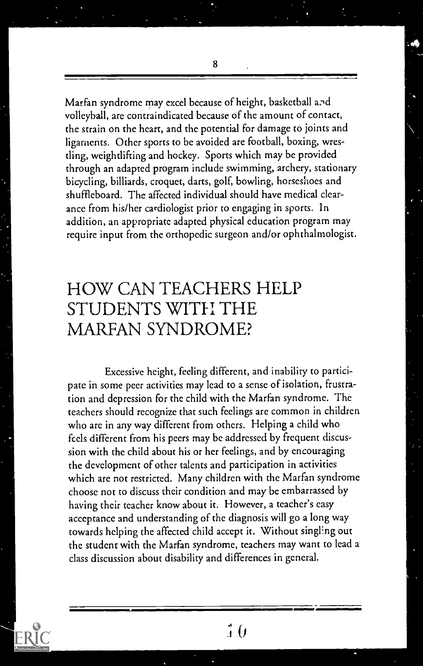Marfan syndrome may excel because of height, basketball volleyball, are contraindicated because of the amount of contact, the strain on the heart, and the potential for damage to joints and ligaments. Other sports to be avoided are football, boxing, wrestling, weightlifting and hockey. Sports which may be provided through an adapted program include swimming, archery, stationary bicycling, billiards, croquet, darts, golf, bowling, horseshoes and shuffleboard. The affected individual should have medical clearance from his/her cardiologist prior to engaging in sports. In addition, an appropriate adapted physical education program may require input from the orthopedic surgeon and/or ophthalmologist.

### HOW CAN TEACHERS HELP STUDENTS WITH THE MARFAN SYNDROME?

Excessive height, feeling different, and inability to participate in some peer activities may lead to a sense of isolation, frustration and depression for the child with the Marfan syndrome. The teachers should recognize that such feelings are common in children who are in any way different from others. Helping a child who feels different from his peers may be addressed by frequent discussion with the child about his or her feelings, and by encouraging the development of other talents and participation in activities which are not restricted. Many children with the Marfan syndrome choose not to discuss their condition and may be embarrassed by having their teacher know about it. However, a teacher's easy acceptance and understanding of the diagnosis will go a long way towards helping the affected child accept it. Without singling out the student with the Marfan syndrome, teachers may want to lead a class discussion about disability and differences in general.



8

 $\hat{i}$   $\theta$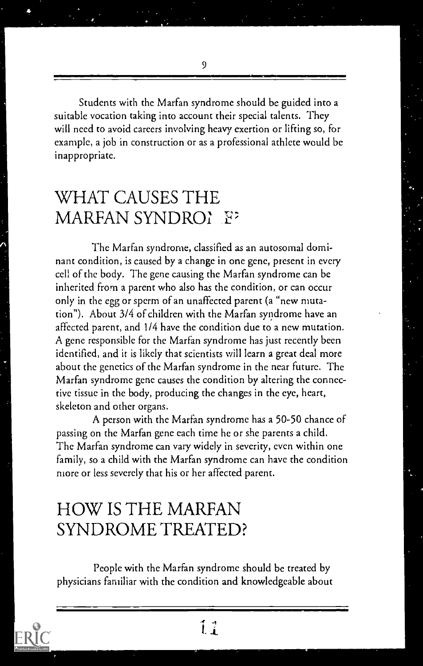9

Students with the Marfan syndrome should be guided into a suitable vocation taking into account their special talents. They will need to avoid careers involving heavy exertion or lifting so, for example, a job in construction or as a professional athlete would be inappropriate.

### WHAT CAUSES THE MARFAN SYNDROL F

The Marfan syndrome, classified as an autosomal dominant condition, is caused by a change in one gene, present in every cell of the body. The gene causing the Marfan syndrome can be inherited from a parent who also has the condition, or can occur only in the egg or sperm of an unaffected parent (a "new mutation"). About 3/4 of children with the Marfan syndrome have an affected parent, and 1/4 have the condition due to a new mutation. A gene responsible for the Marfan syndrome has just recently been identified, and it is likely that scientists will learn a great deal more about the genetics of the Marfan syndrome in the near future. The Marfan syndrome gene causes the condition by altering the connective tissue in the body, producing the changes in the eye, heart, skeleton and other organs.

A person with the Marfan syndrome has a 50-50 chance of passing on the Marfan gene each time he or she parents a child. The Marfan syndrome can vary widely in severity, even within one family, so a child with the Marfan syndrome can have the condition more or less severely that his or her affected parent.

### HOW IS THE MARFAN SYNDROME TREATED?

People with the Marfan syndrome should be treated by physicians familiar with the condition and knowledgeable about

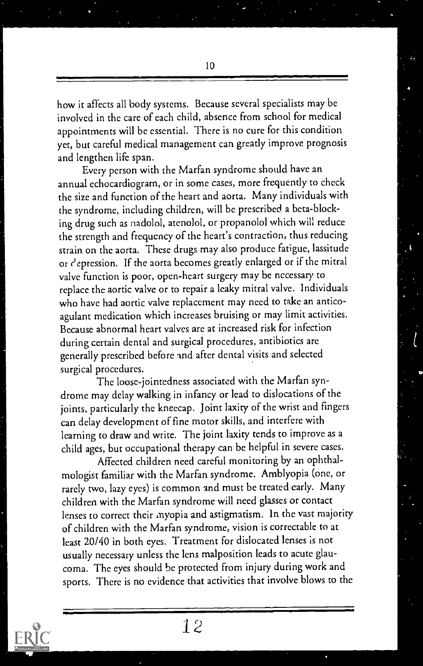how it affects all body systems. Because several specialists may be involved in the care of each child, absence from school for medical appointments will be essential. There is no cure for this condition yet, but careful medical management can greatly improve prognosis and lengthen life span.

Every person with the Marfan syndrome should have an annual echocardiogram, or in some cases, more frequently to check the size and function of the heart and aorta. Many individuals with the syndrome, including children, will be prescribed a beta-blocking drug such as nadolol, atenolol, or propanolol which will reduce the strength and frequency of the heart's contraction, thus reducing strain on the aorta. These drugs may also produce fatigue, lassitude or depression. If the aorta becomes greatly enlarged or if the mitral valve function is poor, open-heart surgery may be necessary to replace the aortic valve or to repair a leaky mitral valve. Individuals who have had aortic valve replacement may need to take an anticoagulant medication which increases bruising or may limit activities. Because abnormal heart valves are at increased risk for infection during certain dental and surgical procedures, antibiotics are generally prescribed before and after dental visits and selected surgical procedures.

The loose-jointedness associated with the Marfan syndrome may delay walking in infancy or lead to dislocations of the joints, particularly the kneecap. Joint laxity of the wrist and fingers can delay development of fine motor skills, and interfere with learning to draw and write. The joint laxity tends to improve as a child ages, but occupational therapy can be helpful in severe cases.

Affected children need careful monitoring by an ophthalmologist familiar with the Marfan syndrome. Amblyopia (one, or rarely two, lazy eyes) is common and must be treated early. Many children with the Marfan syndrome will need glasses or contact lenses to correct their myopia and astigmatism. In the vast majority of children with the Marfan syndrome, vision is correctable to at least 20/40 in both eyes. Treatment for dislocated lenses is not usually necessary unless the lens malposition leads to acute glaucoma. The eyes should be protected from injury during work and sports. There is no evidence that activities that involve blows to the

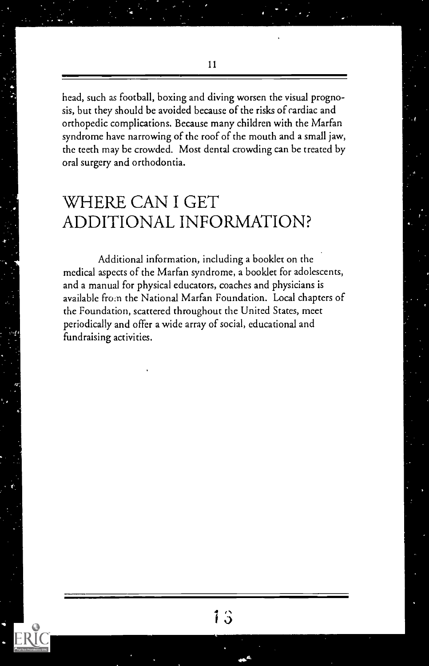head, such as football, boxing and diving worsen the visual prognosis, but they should be avoided because of the risks of cardiac and orthopedic complications. Because many children with the Marfan syndrome have narrowing of the roof of the mouth and a small jaw, the teeth may be crowded. Most dental crowding can be treated by oral surgery and orthodontia.

### WHERE CAN I GET ADDITIONAL INFORMATION?

Additional information, including a booklet on the medical aspects of the Marfan syndrome, a booklet for adolescents, and a manual for physical educators, coaches and physicians is available from the National Marfan Foundation. Local chapters of the Foundation, scattered throughout the United States, meet periodically and offer a wide array of social, educational and fundraising activities.